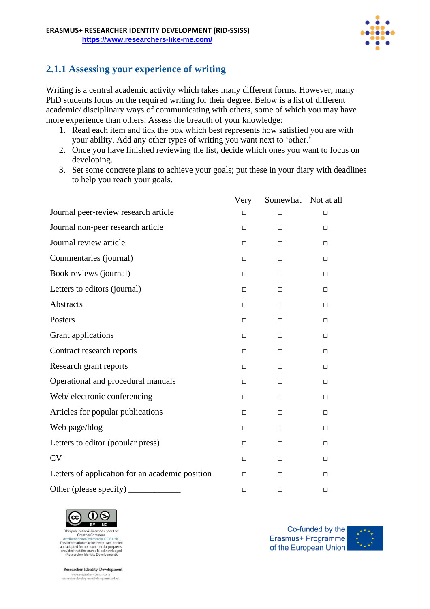

## **2.1.1 Assessing your experience of writing**

Writing is a central academic activity which takes many different forms. However, many PhD students focus on the required writing for their degree. Below is a list of different academic/ disciplinary ways of communicating with others, some of which you may have more experience than others. Assess the breadth of your knowledge:

- 1. Read each item and tick the box which best represents how satisfied you are with your ability. Add any other types of writing you want next to 'other.'
- 2. Once you have finished reviewing the list, decide which ones you want to focus on developing.
- 3. Set some concrete plans to achieve your goals; put these in your diary with deadlines to help you reach your goals.

|                                                 | Very   | Somewhat | Not at all |
|-------------------------------------------------|--------|----------|------------|
| Journal peer-review research article            | $\Box$ | $\Box$   | $\Box$     |
| Journal non-peer research article               | $\Box$ | $\Box$   | $\Box$     |
| Journal review article                          | $\Box$ | $\Box$   | □          |
| Commentaries (journal)                          | $\Box$ | $\Box$   | $\Box$     |
| Book reviews (journal)                          | $\Box$ | $\Box$   | $\Box$     |
| Letters to editors (journal)                    | $\Box$ | $\Box$   | $\Box$     |
| Abstracts                                       | $\Box$ | □        | $\Box$     |
| Posters                                         | $\Box$ | $\Box$   | $\Box$     |
| Grant applications                              | □      | □        | □          |
| Contract research reports                       | $\Box$ | $\Box$   | $\Box$     |
| Research grant reports                          | $\Box$ | $\Box$   | □          |
| Operational and procedural manuals              | $\Box$ | $\Box$   | $\Box$     |
| Web/electronic conferencing                     | $\Box$ | $\Box$   | $\Box$     |
| Articles for popular publications               | $\Box$ | $\Box$   | $\Box$     |
| Web page/blog                                   | □      | $\Box$   | $\Box$     |
| Letters to editor (popular press)               | $\Box$ | $\Box$   | $\Box$     |
| <b>CV</b>                                       | $\Box$ | $\Box$   | $\Box$     |
| Letters of application for an academic position | $\Box$ | $\Box$   | $\Box$     |
| Other (please specify)                          | $\Box$ | $\Box$   | $\Box$     |



Creative Commo AttributionNo This information may be freely used, copied and adapted for non-commercial purposes,<br>and adapted for non-commercial purposes,<br>provided that the source is acknowledged<br>(Researcher Identity Development).

**Researcher Identity Development**  $\label{lem:convex} \begin{array}{ll} \text{www.researcher-identity.com}\\ \text{researcher-development@blanquerna.url.edu} \end{array}$ 

Co-funded by the Erasmus+ Programme of the European Union